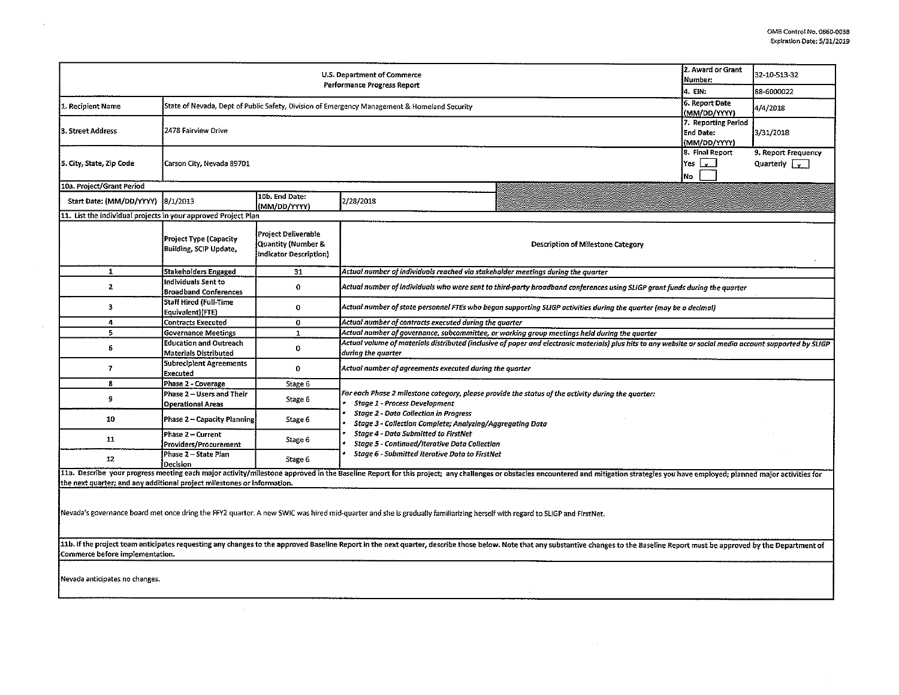| U.S. Department of Commerce<br>Number:<br>Performance Progress Report                                                                                                                                                                                             |                                                                                              |                                                                            |                                                                                                                                                                                                                                                         |  | 32-10-513-32 |  |  |  |  |
|-------------------------------------------------------------------------------------------------------------------------------------------------------------------------------------------------------------------------------------------------------------------|----------------------------------------------------------------------------------------------|----------------------------------------------------------------------------|---------------------------------------------------------------------------------------------------------------------------------------------------------------------------------------------------------------------------------------------------------|--|--------------|--|--|--|--|
|                                                                                                                                                                                                                                                                   | 4. EIN:<br>6. Report Date                                                                    | 88-6000022                                                                 |                                                                                                                                                                                                                                                         |  |              |  |  |  |  |
| 1. Recipient Name                                                                                                                                                                                                                                                 | State of Nevada, Dept of Public Safety, Division of Emergency Management & Homeland Security |                                                                            |                                                                                                                                                                                                                                                         |  |              |  |  |  |  |
| 3. Street Address                                                                                                                                                                                                                                                 | 2478 Fairview Drive                                                                          | (MM/DD/YYYY)<br>7. Reporting Period<br><b>End Date:</b><br>(MM/DD/YYYY)    | 3/31/2018                                                                                                                                                                                                                                               |  |              |  |  |  |  |
| 5. City, State, Zip Code                                                                                                                                                                                                                                          | Carson City, Nevada 89701                                                                    | 8. Final Report<br>Yes l<br>ا يو ا<br><b>No</b>                            | 9. Report Frequency<br>Quarterly $\sqrt{v}$                                                                                                                                                                                                             |  |              |  |  |  |  |
| 10a. Project/Grant Period                                                                                                                                                                                                                                         |                                                                                              |                                                                            |                                                                                                                                                                                                                                                         |  |              |  |  |  |  |
| Start Date: (MM/DD/YYYY)                                                                                                                                                                                                                                          | 8/1/2013                                                                                     | 10b. End Date:<br>(MM/DD/YYYY)                                             | 2/28/2018                                                                                                                                                                                                                                               |  |              |  |  |  |  |
| 11. List the individual projects in your approved Project Plan                                                                                                                                                                                                    |                                                                                              |                                                                            |                                                                                                                                                                                                                                                         |  |              |  |  |  |  |
|                                                                                                                                                                                                                                                                   | <b>Project Type (Capacity</b><br><b>Building, SCIP Update,</b>                               | <b>Project Deliverable</b><br>Quantity (Number &<br>Indicator Description) | Description of Milestone Category                                                                                                                                                                                                                       |  |              |  |  |  |  |
| $\mathbf{1}$                                                                                                                                                                                                                                                      | Stakeholders Engaged                                                                         | 31                                                                         | Actual number of individuals reached via stakeholder meetings during the quarter                                                                                                                                                                        |  |              |  |  |  |  |
| $\mathbf{z}$                                                                                                                                                                                                                                                      | Individuals Sent to<br><b>Broadband Conferences</b>                                          | 0                                                                          | Actual number of individuals who were sent to third-party broadband conferences using SLIGP grant funds during the quarter                                                                                                                              |  |              |  |  |  |  |
| 3                                                                                                                                                                                                                                                                 | Staff Hired (Full-Time<br>Equivalent)(FTE)                                                   | $\mathbf 0$                                                                | Actual number of state personnel FTEs who began supporting SLIGP activities during the quarter (may be a decimal)                                                                                                                                       |  |              |  |  |  |  |
| 4                                                                                                                                                                                                                                                                 | <b>Contracts Executed</b>                                                                    | 0                                                                          | Actual number of contracts executed during the quarter                                                                                                                                                                                                  |  |              |  |  |  |  |
| 5                                                                                                                                                                                                                                                                 | <b>Governance Meetings</b>                                                                   | $\mathbf{1}$                                                               | Actual number of governance, subcommittee, or working group meetings held during the quarter                                                                                                                                                            |  |              |  |  |  |  |
| 6                                                                                                                                                                                                                                                                 | <b>Education and Outreach</b><br><b>Materials Distributed</b>                                | 0                                                                          | Actual volume of materials distributed (inclusive of paper and electronic materials) plus hits to any website or social media account supported by SLIGP<br>during the quarter                                                                          |  |              |  |  |  |  |
| 7                                                                                                                                                                                                                                                                 | <b>Subrecipient Agreements</b><br>Executed                                                   | 0                                                                          | Actual number of agreements executed during the quarter                                                                                                                                                                                                 |  |              |  |  |  |  |
| 8                                                                                                                                                                                                                                                                 | Phase 2 - Coverage                                                                           | Stage 6                                                                    |                                                                                                                                                                                                                                                         |  |              |  |  |  |  |
| 9                                                                                                                                                                                                                                                                 | Phase 2 - Users and Their<br><b>Operational Areas</b>                                        | Stage 6                                                                    | For each Phase 2 milestone category, please provide the status of the activity during the quarter:<br><b>Stage 1 - Process Development</b><br><b>Stage 2 - Data Collection in Progress</b><br>Stage 3 - Collection Complete; Analyzing/Aggregating Data |  |              |  |  |  |  |
| 10                                                                                                                                                                                                                                                                | Phase 2 - Capacity Planning                                                                  | Stage 6                                                                    |                                                                                                                                                                                                                                                         |  |              |  |  |  |  |
| 11                                                                                                                                                                                                                                                                | Phase 2 - Current<br>Providers/Procurement                                                   | Stage 6                                                                    | <b>Stage 4 - Data Submitted to FirstNet</b><br>Stage 5 - Continued/Iterative Data Collection                                                                                                                                                            |  |              |  |  |  |  |
| 12                                                                                                                                                                                                                                                                | Phase 2 – State Plan<br>Decision                                                             | Stage 6                                                                    | Stage 6 - Submitted Iterative Data to FirstNet                                                                                                                                                                                                          |  |              |  |  |  |  |
| 11a. Describe your progress meeting each major activity/milestone approved in the Baseline Report for this project; any challenges or obstacles encountered and mitigation strategies you have employed; planned major activit                                    |                                                                                              |                                                                            |                                                                                                                                                                                                                                                         |  |              |  |  |  |  |
| the next quarter; and any additional project milestones or information.                                                                                                                                                                                           |                                                                                              |                                                                            |                                                                                                                                                                                                                                                         |  |              |  |  |  |  |
| Nevada's governance board met once dring the FFY2 quarter. A new SWIC was hired mid-quarter and she is gradually familiarizing herself with regard to SLIGP and FirstNet.                                                                                         |                                                                                              |                                                                            |                                                                                                                                                                                                                                                         |  |              |  |  |  |  |
| 11b. If the project team anticipates requesting any changes to the approved Baseline Report in the next quarter, describe those below. Note that any substantive changes to the Baseline Report must be approved by the Depart<br>Commerce before implementation. |                                                                                              |                                                                            |                                                                                                                                                                                                                                                         |  |              |  |  |  |  |
| Nevada anticipates no changes.                                                                                                                                                                                                                                    |                                                                                              |                                                                            |                                                                                                                                                                                                                                                         |  |              |  |  |  |  |

 $\mathcal{L}$ 

 $\sim$ 

 $\cdot$ 

 $\Delta$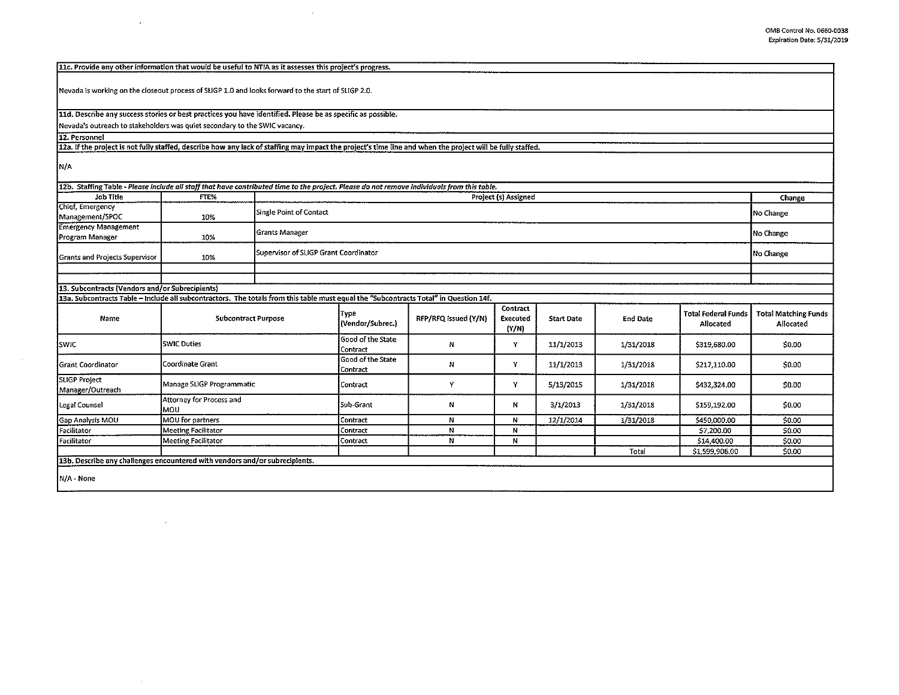| 11c. Provide any other information that would be useful to NTIA as it assesses this project's progress.                                                    |                                        |                         |                                       |                      |                                      |                   |                 |                                         |                                          |
|------------------------------------------------------------------------------------------------------------------------------------------------------------|----------------------------------------|-------------------------|---------------------------------------|----------------------|--------------------------------------|-------------------|-----------------|-----------------------------------------|------------------------------------------|
|                                                                                                                                                            |                                        |                         |                                       |                      |                                      |                   |                 |                                         |                                          |
| Nevada is working on the closeout process of SLIGP 1.0 and looks forward to the start of SLIGP 2.0.                                                        |                                        |                         |                                       |                      |                                      |                   |                 |                                         |                                          |
| 11d. Describe any success stories or best practices you have identified. Please be as specific as possible.                                                |                                        |                         |                                       |                      |                                      |                   |                 |                                         |                                          |
| Nevada's outreach to stakeholders was quiet secondary to the SWIC vacancy.                                                                                 |                                        |                         |                                       |                      |                                      |                   |                 |                                         |                                          |
| 12. Personnel                                                                                                                                              |                                        |                         |                                       |                      |                                      |                   |                 |                                         |                                          |
| 12a. If the project is not fully staffed, describe how any lack of staffing may impact the project's time line and when the project will be fully staffed. |                                        |                         |                                       |                      |                                      |                   |                 |                                         |                                          |
| N/A                                                                                                                                                        |                                        |                         |                                       |                      |                                      |                   |                 |                                         |                                          |
| 12b. Staffing Table - Please include all staff that have contributed time to the project. Please do not remove individuals from this table.                |                                        |                         |                                       |                      |                                      |                   |                 |                                         |                                          |
| <b>Job Title</b>                                                                                                                                           | FTE%                                   |                         |                                       |                      | Project (s) Assigned                 |                   |                 |                                         | Change                                   |
| Chief, Emergency<br>Management/SPOC                                                                                                                        | 10%                                    | Single Point of Contact | No Change                             |                      |                                      |                   |                 |                                         |                                          |
| <b>Emergency Management</b><br>Program Manager                                                                                                             | 10%                                    | <b>Grants Manager</b>   | No Change                             |                      |                                      |                   |                 |                                         |                                          |
| <b>Grants and Projects Supervisor</b>                                                                                                                      | 10%                                    |                         | Supervisor of SLIGP Grant Coordinator |                      |                                      |                   |                 |                                         | No Change                                |
|                                                                                                                                                            |                                        |                         |                                       |                      |                                      |                   |                 |                                         |                                          |
|                                                                                                                                                            |                                        |                         |                                       |                      |                                      |                   |                 |                                         |                                          |
| 13. Subcontracts (Vendors and/or Subrecipients)                                                                                                            |                                        |                         |                                       |                      |                                      |                   |                 |                                         |                                          |
| 13a. Subcontracts Table - Include all subcontractors. The totals from this table must equal the "Subcontracts Total" in Question 14f.                      |                                        |                         |                                       |                      |                                      |                   |                 |                                         |                                          |
| Name                                                                                                                                                       | <b>Subcontract Purpose</b>             |                         | Type<br>(Vendor/Subrec.)              | RFP/RFQ Issued (Y/N) | Contract<br><b>Executed</b><br>(Y/N) | <b>Start Date</b> | <b>End Date</b> | <b>Total Federal Funds</b><br>Allocated | <b>Total Matching Funds</b><br>Allocated |
| <b>SWIC</b>                                                                                                                                                | <b>SWIC Duties</b>                     |                         | Good of the State<br>Contract         | N                    | Y                                    | 11/1/2013         | 1/31/2018       | \$319,680.00                            | \$0.00                                   |
| <b>Grant Coordinator</b>                                                                                                                                   | Coordinate Grant                       |                         | <b>Good of the State</b><br>Contract  | N                    | Y                                    | 11/1/2013         | 1/31/2018       | \$217,110.00                            | \$0.00                                   |
| <b>SLIGP Project</b><br>Manager/Outreach                                                                                                                   | Manage SLIGP Programmatic              |                         | Contract                              | Y                    | Y                                    | 5/13/2015         | 1/31/2018       | \$432,324.00                            | <b>S0.00</b>                             |
| Legal Counsel                                                                                                                                              | Attorney for Process and<br><b>MOU</b> |                         | Sub-Grant                             | N                    | N                                    | 3/1/2013          | 1/31/2018       | \$159,192.00                            | \$0.00                                   |
| Gap Analysis MOU                                                                                                                                           | MOU for partners                       |                         | <i><b>Contract</b></i>                | N                    | N                                    | 12/1/2014         | 1/31/2018       | \$450,000.00                            | \$0.00                                   |
| Facilitator                                                                                                                                                | Meeting Facilitator                    |                         | Contract                              | N                    | N                                    |                   |                 | \$7,200.00                              | \$0.00                                   |
| Facilitator                                                                                                                                                | <b>Meeting Facilitator</b>             |                         | Contract                              | N                    | N                                    |                   |                 | \$14,400.00                             | \$0.00                                   |
|                                                                                                                                                            |                                        |                         |                                       |                      |                                      |                   | Total           | \$1,599,906.00                          | \$0.00                                   |
| 13b. Describe any challenges encountered with vendors and/or subrecipients.                                                                                |                                        |                         |                                       |                      |                                      |                   |                 |                                         |                                          |
| N/A - None                                                                                                                                                 |                                        |                         |                                       |                      |                                      |                   |                 |                                         |                                          |

 $\sim 10^{-1}$ 

 $\sim 10^{11}$  km  $^{-1}$ 

 $\sim$ 

 $\epsilon$ 

 $\sim$